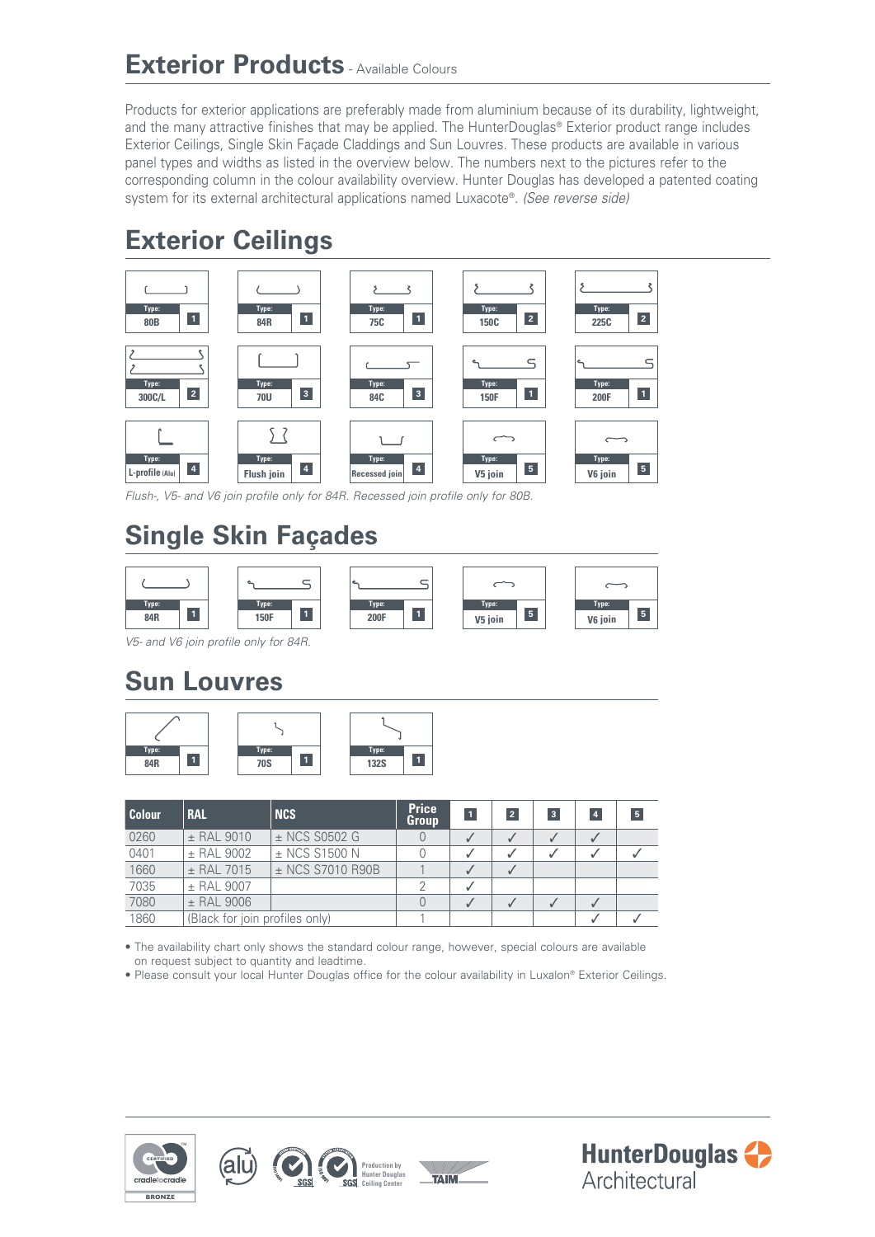### **Exterior Products** - Available Colours

Products for exterior applications are preferably made from aluminium because of its durability, lightweight, and the many attractive finishes that may be applied. The HunterDouglas® Exterior product range includes Exterior Ceilings, Single Skin Façade Claddings and Sun Louvres. These products are available in various panel types and widths as listed in the overview below. The numbers next to the pictures refer to the corresponding column in the colour availability overview. Hunter Douglas has developed a patented coating system for its external architectural applications named Luxacote®. *(See reverse side)*

## **Exterior Ceilings**



*Flush-, V5- and V6 join profile only for 84R. Recessed join profile only for 80B.*

# **Single Skin Façades**



*V5- and V6 join profile only for 84R.*

## **Sun Louvres**



| <b>Colour</b> | <b>RAL</b>                     | <b>NCS</b>        | <b>Price</b><br>Group | $\vert$ 1 | $\overline{2}$ | $\overline{\mathbf{3}}$ | $\overline{4}$ | 5 |
|---------------|--------------------------------|-------------------|-----------------------|-----------|----------------|-------------------------|----------------|---|
| 0260          | $±$ RAL 9010                   | $\pm$ NCS S0502 G |                       |           |                |                         |                |   |
| 0401          | $±$ RAL 9002                   | $\pm$ NCS S1500 N |                       |           |                |                         |                |   |
| 1660          | $±$ RAL 7015                   | ± NCS S7010 R90B  |                       |           |                |                         |                |   |
| 7035          | $±$ RAL 9007                   |                   |                       |           |                |                         |                |   |
| 7080          | $±$ RAL 9006                   |                   |                       |           |                |                         |                |   |
| 1860          | (Black for join profiles only) |                   |                       |           |                |                         |                |   |

• The availability chart only shows the standard colour range, however, special colours are available on request subject to quantity and leadtime.

• Please consult your local Hunter Douglas office for the colour availability in Luxalon® Exterior Ceilings.



(alu